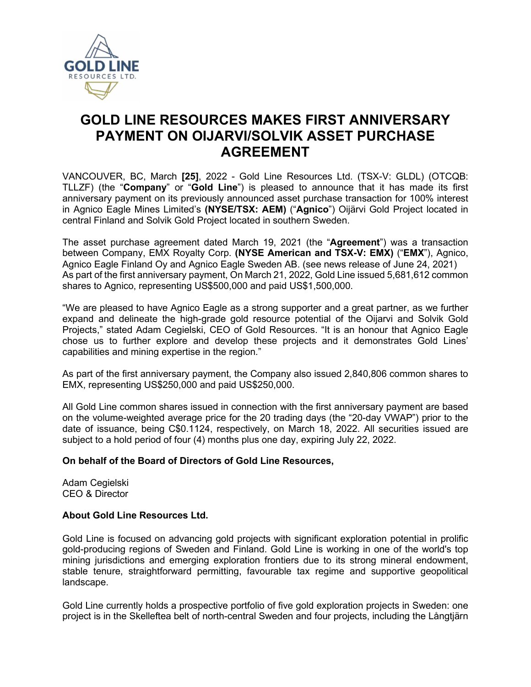

# **GOLD LINE RESOURCES MAKES FIRST ANNIVERSARY PAYMENT ON OIJARVI/SOLVIK ASSET PURCHASE AGREEMENT**

VANCOUVER, BC, March **[25]**, 2022 - Gold Line Resources Ltd. (TSX-V: GLDL) (OTCQB: TLLZF) (the "**Company**" or "**Gold Line**") is pleased to announce that it has made its first anniversary payment on its previously announced asset purchase transaction for 100% interest in Agnico Eagle Mines Limited's **(NYSE/TSX: AEM)** ("**Agnico**") Oijärvi Gold Project located in central Finland and Solvik Gold Project located in southern Sweden.

The asset purchase agreement dated March 19, 2021 (the "**Agreement**") was a transaction between Company, EMX Royalty Corp. **(NYSE American and TSX-V: EMX)** ("**EMX**"), Agnico, Agnico Eagle Finland Oy and Agnico Eagle Sweden AB. (see news release of June 24, 2021) As part of the first anniversary payment, On March 21, 2022, Gold Line issued 5,681,612 common shares to Agnico, representing US\$500,000 and paid US\$1,500,000.

"We are pleased to have Agnico Eagle as a strong supporter and a great partner, as we further expand and delineate the high-grade gold resource potential of the Oijarvi and Solvik Gold Projects," stated Adam Cegielski, CEO of Gold Resources. "It is an honour that Agnico Eagle chose us to further explore and develop these projects and it demonstrates Gold Lines' capabilities and mining expertise in the region."

As part of the first anniversary payment, the Company also issued 2,840,806 common shares to EMX, representing US\$250,000 and paid US\$250,000.

All Gold Line common shares issued in connection with the first anniversary payment are based on the volume-weighted average price for the 20 trading days (the "20-day VWAP") prior to the date of issuance, being C\$0.1124, respectively, on March 18, 2022. All securities issued are subject to a hold period of four (4) months plus one day, expiring July 22, 2022.

### **On behalf of the Board of Directors of Gold Line Resources,**

Adam Cegielski CEO & Director

### **About Gold Line Resources Ltd.**

Gold Line is focused on advancing gold projects with significant exploration potential in prolific gold-producing regions of Sweden and Finland. Gold Line is working in one of the world's top mining jurisdictions and emerging exploration frontiers due to its strong mineral endowment, stable tenure, straightforward permitting, favourable tax regime and supportive geopolitical landscape.

Gold Line currently holds a prospective portfolio of five gold exploration projects in Sweden: one project is in the Skelleftea belt of north-central Sweden and four projects, including the Långtjärn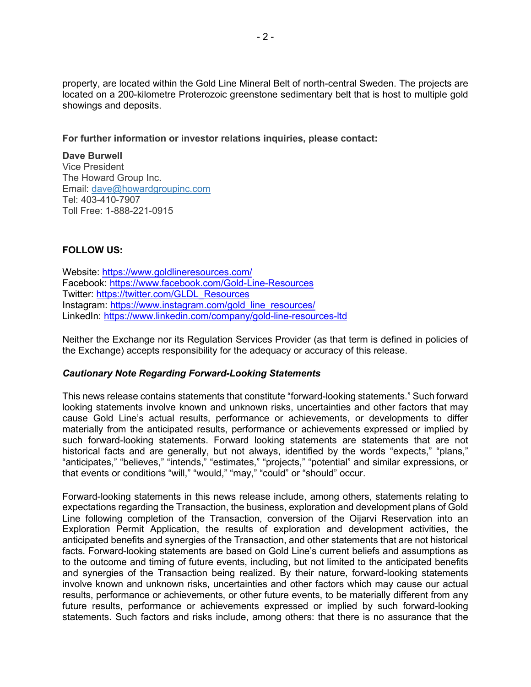property, are located within the Gold Line Mineral Belt of north-central Sweden. The projects are located on a 200-kilometre Proterozoic greenstone sedimentary belt that is host to multiple gold showings and deposits.

**For further information or investor relations inquiries, please contact:**

**Dave Burwell** Vice President The Howard Group Inc. Email: [dave@howardgroupinc.com](mailto:dave@howardgroupinc.com) Tel: 403-410-7907 Toll Free: 1-888-221-0915

## **FOLLOW US:**

Website:<https://www.goldlineresources.com/> Facebook:<https://www.facebook.com/Gold-Line-Resources> Twitter: [https://twitter.com/GLDL\\_Resources](https://twitter.com/GLDL_Resources)  Instagram: [https://www.instagram.com/gold\\_line\\_resources/](https://www.instagram.com/gold_line_resources/)  LinkedIn:<https://www.linkedin.com/company/gold-line-resources-ltd>

Neither the Exchange nor its Regulation Services Provider (as that term is defined in policies of the Exchange) accepts responsibility for the adequacy or accuracy of this release.

#### *Cautionary Note Regarding Forward-Looking Statements*

This news release contains statements that constitute "forward-looking statements." Such forward looking statements involve known and unknown risks, uncertainties and other factors that may cause Gold Line's actual results, performance or achievements, or developments to differ materially from the anticipated results, performance or achievements expressed or implied by such forward-looking statements. Forward looking statements are statements that are not historical facts and are generally, but not always, identified by the words "expects," "plans," "anticipates," "believes," "intends," "estimates," "projects," "potential" and similar expressions, or that events or conditions "will," "would," "may," "could" or "should" occur.

Forward-looking statements in this news release include, among others, statements relating to expectations regarding the Transaction, the business, exploration and development plans of Gold Line following completion of the Transaction, conversion of the Oijarvi Reservation into an Exploration Permit Application, the results of exploration and development activities, the anticipated benefits and synergies of the Transaction, and other statements that are not historical facts. Forward-looking statements are based on Gold Line's current beliefs and assumptions as to the outcome and timing of future events, including, but not limited to the anticipated benefits and synergies of the Transaction being realized. By their nature, forward-looking statements involve known and unknown risks, uncertainties and other factors which may cause our actual results, performance or achievements, or other future events, to be materially different from any future results, performance or achievements expressed or implied by such forward-looking statements. Such factors and risks include, among others: that there is no assurance that the